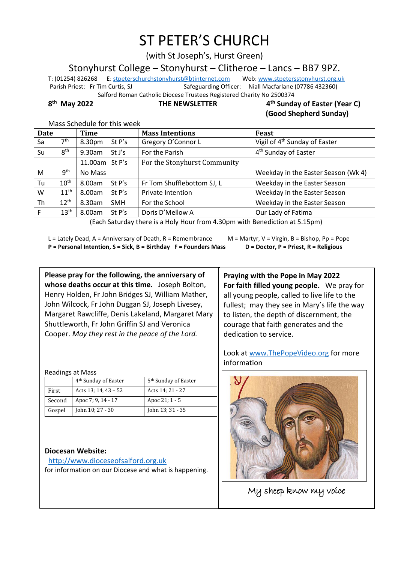# ST PETER'S CHURCH

(with St Joseph's, Hurst Green)

Stonyhurst College – Stonyhurst – Clitheroe – Lancs – BB7 9PZ.

T: (01254) 826268 E[: stpeterschurchstonyhurst@btinternet.com](mailto:stpeterschurchstonyhurst@btinternet.com) Web[: www.stpetersstonyhurst.org.uk](http://www.stpetersstonyhurst.org.uk/) Parish Priest: Fr Tim Curtis, SJ Safeguarding Officer: Niall Macfarlane (07786 432360) Salford Roman Catholic Diocese Trustees Registered Charity No 2500374

8<sup>th</sup> May 2022

**THE NEWSLETTER** 

#### **th Sunday of Easter (Year C) (Good Shepherd Sunday)**

Mass Schedule for this week

| <b>Date</b>          |                  | Time                 | <b>Mass Intentions</b>       | Feast                                     |  |
|----------------------|------------------|----------------------|------------------------------|-------------------------------------------|--|
| Sa                   | 7 <sup>th</sup>  | 8.30pm<br>St $P's$   | Gregory O'Connor L           | Vigil of 4 <sup>th</sup> Sunday of Easter |  |
| Su                   | 8 <sup>th</sup>  | 9.30am<br>St J's     | For the Parish               | 4 <sup>th</sup> Sunday of Easter          |  |
|                      |                  | 11.00am St P's       | For the Stonyhurst Community |                                           |  |
| M                    | 9 <sup>th</sup>  | No Mass              |                              | Weekday in the Easter Season (Wk 4)       |  |
| Tu                   | 10 <sup>th</sup> | 8.00am<br>St P's     | Fr Tom Shufflebottom SJ, L   | Weekday in the Easter Season              |  |
| W                    | $11^{\text{th}}$ | 8.00am<br>St P's     | <b>Private Intention</b>     | Weekday in the Easter Season              |  |
| Th                   | $12^{th}$        | 8.30am<br><b>SMH</b> | For the School               | Weekday in the Easter Season              |  |
|                      | 13 <sup>th</sup> | 8.00am<br>St P's     | Doris D'Mellow A             | Our Lady of Fatima                        |  |
| $\sim$ $\sim$ $\sim$ |                  |                      |                              |                                           |  |

(Each Saturday there is a Holy Hour from 4.30pm with Benediction at 5.15pm)

L = Lately Dead, A = Anniversary of Death, R = Remembrance M = Martyr, V = Virgin, B = Bishop, Pp = Pope **P = Personal Intention, S = Sick, B = Birthday F = Founders Mass D = Doctor, P = Priest, R = Religious**

**Please pray for the following, the anniversary of whose deaths occur at this time.** Joseph Bolton, Henry Holden, Fr John Bridges SJ, William Mather, John Wilcock, Fr John Duggan SJ, Joseph Livesey, Margaret Rawcliffe, Denis Lakeland, Margaret Mary Shuttleworth, Fr John Griffin SJ and Veronica Cooper. *May they rest in the peace of the Lord.*

Readings at Mass

|        | 4 <sup>th</sup> Sunday of Easter | 5 <sup>th</sup> Sunday of Easter |
|--------|----------------------------------|----------------------------------|
| First  | Acts 13; 14, $43 - 52$           | Acts 14; 21 - 27                 |
| Second | Apoc 7; 9, 14 - 17               | Apoc 21; 1 - 5                   |
| Gospel | John 10; 27 - 30                 | John 13; 31 - 35                 |

### **Diocesan Website:**

http://www.dioceseofsalford.org.uk for information on our Diocese and what is happening.

**Praying with the Pope in May 2022 For faith filled young people.** We pray for all young people, called to live life to the fullest; may they see in Mary's life the way to listen, the depth of discernment, the courage that faith generates and the dedication to service.

Look at www.ThePopeVideo.org for more information



My sheep know my voice